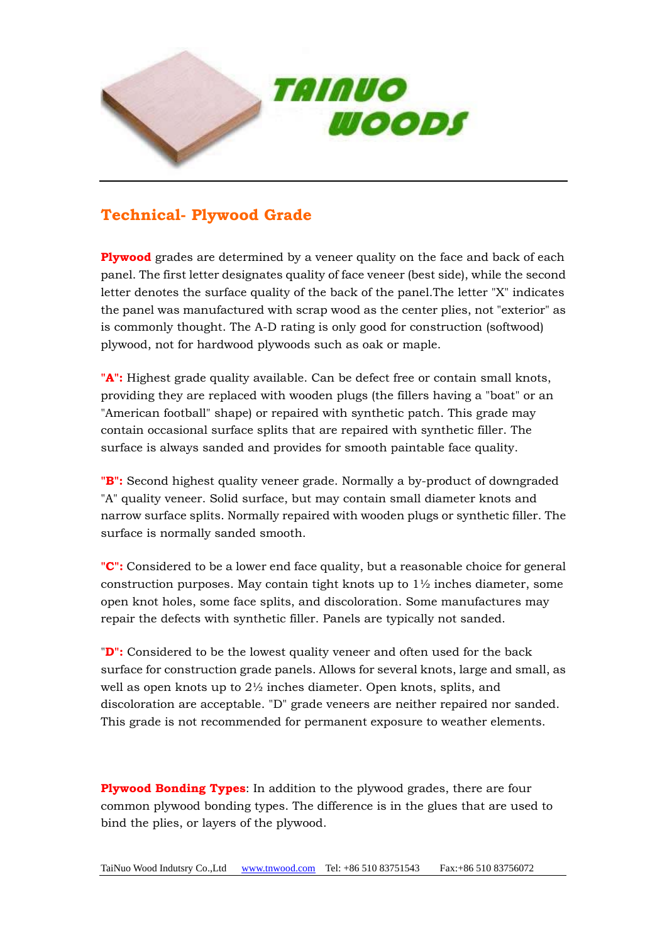

## **Technical- Plywood Grade**

**Plywood** grades are determined by a veneer quality on the face and back of each panel. The first letter designates quality of face veneer (best side), while the second letter denotes the surface quality of the back of the panel.The letter "X" indicates the panel was manufactured with scrap wood as the center plies, not "exterior" as is commonly thought. The A-D rating is only good for construction (softwood) plywood, not for hardwood plywoods such as oak or maple.

**"A":** Highest grade quality available. Can be defect free or contain small knots, providing they are replaced with wooden plugs (the fillers having a "boat" or an "American football" shape) or repaired with synthetic patch. This grade may contain occasional surface splits that are repaired with synthetic filler. The surface is always sanded and provides for smooth paintable face quality.

**"B":** Second highest quality veneer grade. Normally a by-product of downgraded "A" quality veneer. Solid surface, but may contain small diameter knots and narrow surface splits. Normally repaired with wooden plugs or synthetic filler. The surface is normally sanded smooth.

**"C":** Considered to be a lower end face quality, but a reasonable choice for general construction purposes. May contain tight knots up to  $1\frac{1}{2}$  inches diameter, some open knot holes, some face splits, and discoloration. Some manufactures may repair the defects with synthetic filler. Panels are typically not sanded.

"**D":** Considered to be the lowest quality veneer and often used for the back surface for construction grade panels. Allows for several knots, large and small, as well as open knots up to 2½ inches diameter. Open knots, splits, and discoloration are acceptable. "D" grade veneers are neither repaired nor sanded. This grade is not recommended for permanent exposure to weather elements.

**Plywood Bonding Types**: In addition to the plywood grades, there are four common plywood bonding types. The difference is in the glues that are used to bind the plies, or layers of the plywood.